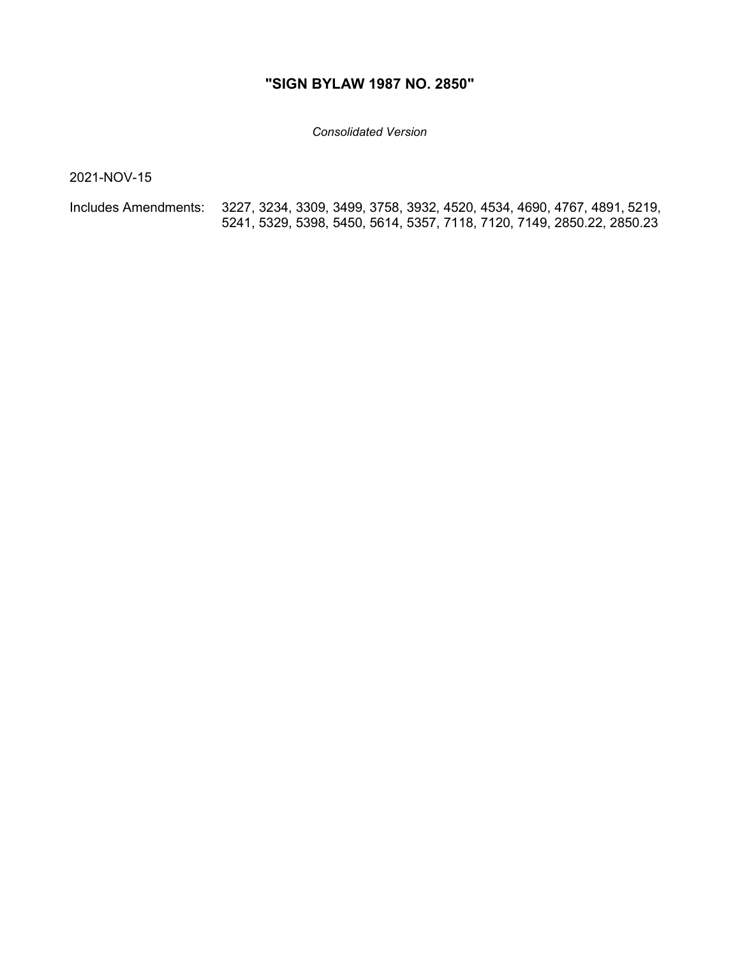## **"SIGN BYLAW 1987 NO. 2850"**

*Consolidated Version*

2021-NOV-15

Includes Amendments: 3227, 3234, 3309, 3499, 3758, 3932, 4520, 4534, 4690, 4767, 4891, 5219, 5241, 5329, 5398, 5450, 5614, 5357, 7118, 7120, 7149, 2850.22, 2850.23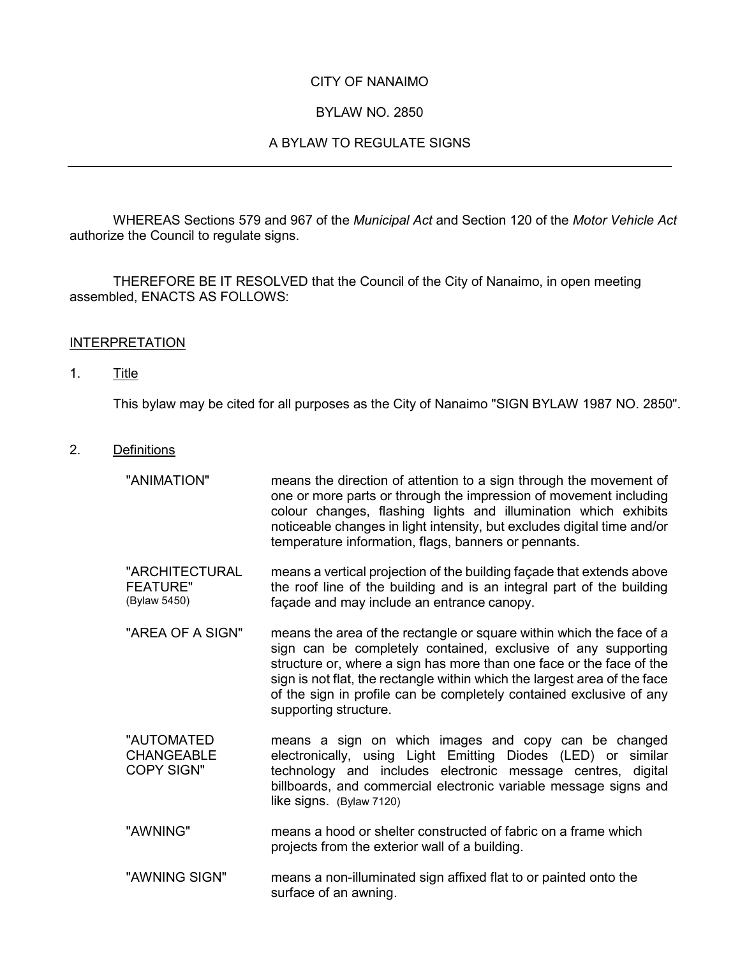### CITY OF NANAIMO

### BYLAW NO. 2850

### A BYLAW TO REGULATE SIGNS

WHEREAS Sections 579 and 967 of the *Municipal Act* and Section 120 of the *Motor Vehicle Act* authorize the Council to regulate signs.

THEREFORE BE IT RESOLVED that the Council of the City of Nanaimo, in open meeting assembled, ENACTS AS FOLLOWS:

#### INTERPRETATION

#### 1. Title

This bylaw may be cited for all purposes as the City of Nanaimo "SIGN BYLAW 1987 NO. 2850".

- 2. Definitions
	- "ANIMATION" means the direction of attention to a sign through the movement of one or more parts or through the impression of movement including colour changes, flashing lights and illumination which exhibits noticeable changes in light intensity, but excludes digital time and/or temperature information, flags, banners or pennants.
	- "ARCHITECTURAL FEATURE" (Bylaw 5450) means a vertical projection of the building façade that extends above the roof line of the building and is an integral part of the building façade and may include an entrance canopy.
	- "AREA OF A SIGN" means the area of the rectangle or square within which the face of a sign can be completely contained, exclusive of any supporting structure or, where a sign has more than one face or the face of the sign is not flat, the rectangle within which the largest area of the face of the sign in profile can be completely contained exclusive of any supporting structure.
	- "AUTOMATED CHANGEABLE COPY SIGN" means a sign on which images and copy can be changed electronically, using Light Emitting Diodes (LED) or similar technology and includes electronic message centres, digital billboards, and commercial electronic variable message signs and like signs. (Bylaw 7120)
	- "AWNING" means a hood or shelter constructed of fabric on a frame which projects from the exterior wall of a building.
	- "AWNING SIGN" means a non-illuminated sign affixed flat to or painted onto the surface of an awning.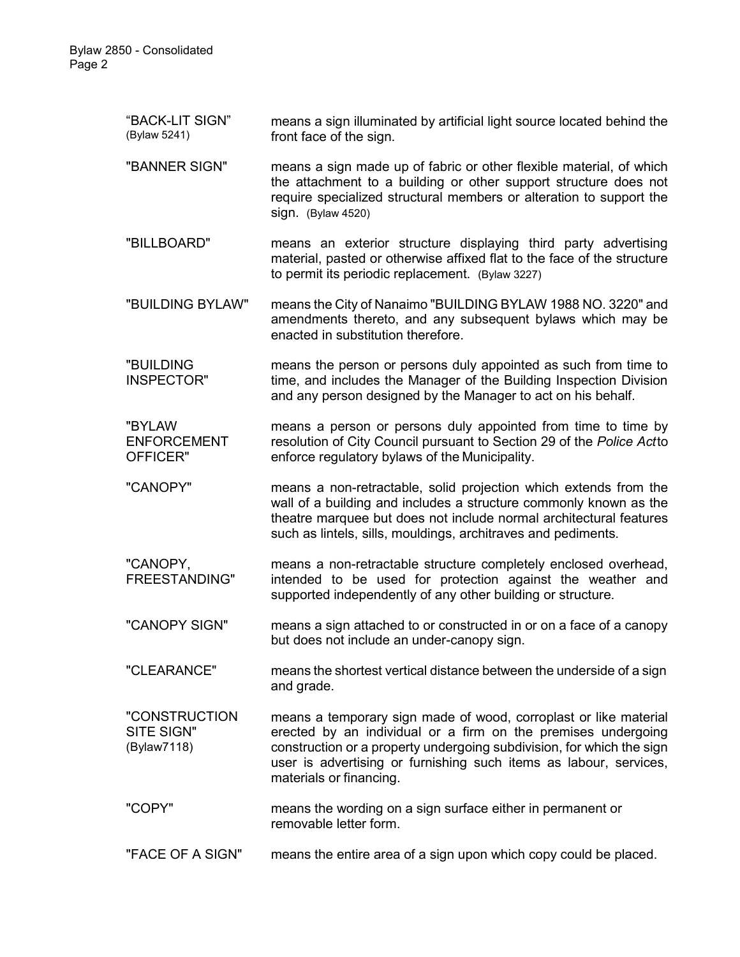| "BACK-LIT SIGN"<br>(Bylaw 5241)            | means a sign illuminated by artificial light source located behind the<br>front face of the sign.                                                                                                                                                                                                          |
|--------------------------------------------|------------------------------------------------------------------------------------------------------------------------------------------------------------------------------------------------------------------------------------------------------------------------------------------------------------|
| "BANNER SIGN"                              | means a sign made up of fabric or other flexible material, of which<br>the attachment to a building or other support structure does not<br>require specialized structural members or alteration to support the<br>sign. (Bylaw 4520)                                                                       |
| "BILLBOARD"                                | means an exterior structure displaying third party advertising<br>material, pasted or otherwise affixed flat to the face of the structure<br>to permit its periodic replacement. (Bylaw 3227)                                                                                                              |
| "BUILDING BYLAW"                           | means the City of Nanaimo "BUILDING BYLAW 1988 NO. 3220" and<br>amendments thereto, and any subsequent bylaws which may be<br>enacted in substitution therefore.                                                                                                                                           |
| "BUILDING<br>INSPECTOR"                    | means the person or persons duly appointed as such from time to<br>time, and includes the Manager of the Building Inspection Division<br>and any person designed by the Manager to act on his behalf.                                                                                                      |
| "BYLAW<br><b>ENFORCEMENT</b><br>OFFICER"   | means a person or persons duly appointed from time to time by<br>resolution of City Council pursuant to Section 29 of the Police Actto<br>enforce regulatory bylaws of the Municipality.                                                                                                                   |
| "CANOPY"                                   | means a non-retractable, solid projection which extends from the<br>wall of a building and includes a structure commonly known as the<br>theatre marquee but does not include normal architectural features<br>such as lintels, sills, mouldings, architraves and pediments.                               |
| "CANOPY,<br><b>FREESTANDING"</b>           | means a non-retractable structure completely enclosed overhead,<br>intended to be used for protection against the weather and<br>supported independently of any other building or structure.                                                                                                               |
| "CANOPY SIGN"                              | means a sign attached to or constructed in or on a face of a canopy<br>but does not include an under-canopy sign.                                                                                                                                                                                          |
| "CLEARANCE"                                | means the shortest vertical distance between the underside of a sign<br>and grade.                                                                                                                                                                                                                         |
| "CONSTRUCTION<br>SITE SIGN"<br>(Bylaw7118) | means a temporary sign made of wood, corroplast or like material<br>erected by an individual or a firm on the premises undergoing<br>construction or a property undergoing subdivision, for which the sign<br>user is advertising or furnishing such items as labour, services,<br>materials or financing. |
| "COPY"                                     | means the wording on a sign surface either in permanent or<br>removable letter form.                                                                                                                                                                                                                       |
| "FACE OF A SIGN"                           | means the entire area of a sign upon which copy could be placed.                                                                                                                                                                                                                                           |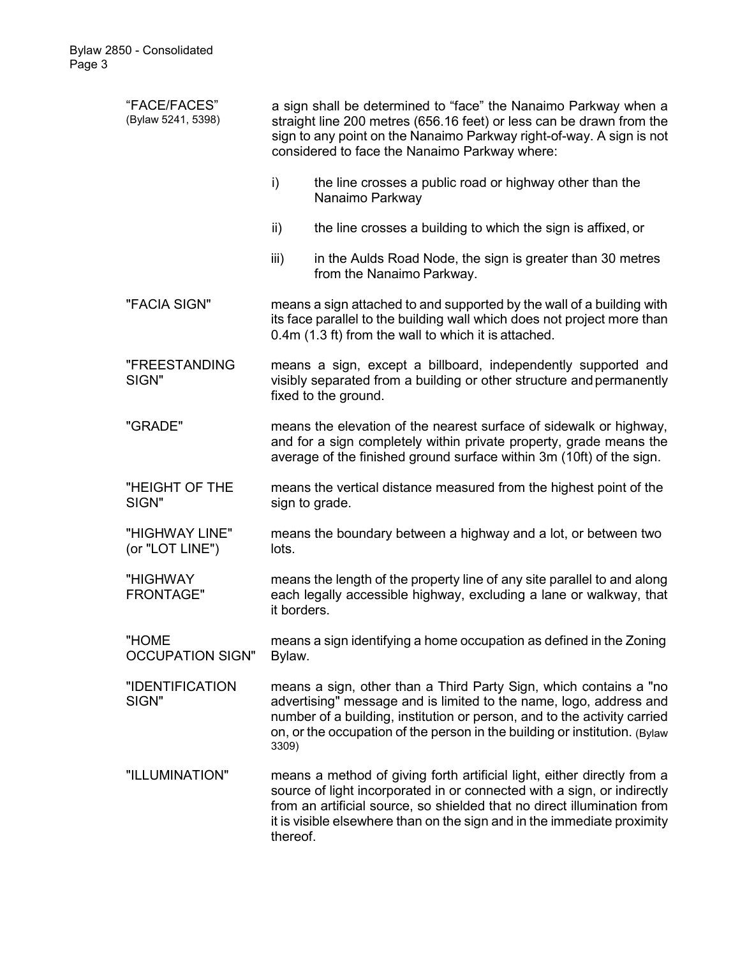| "FACE/FACES"<br>(Bylaw 5241, 5398) | a sign shall be determined to "face" the Nanaimo Parkway when a<br>straight line 200 metres (656.16 feet) or less can be drawn from the<br>sign to any point on the Nanaimo Parkway right-of-way. A sign is not<br>considered to face the Nanaimo Parkway where: |                                                                                                                                                                                                                                                                                                          |  |  |  |
|------------------------------------|------------------------------------------------------------------------------------------------------------------------------------------------------------------------------------------------------------------------------------------------------------------|----------------------------------------------------------------------------------------------------------------------------------------------------------------------------------------------------------------------------------------------------------------------------------------------------------|--|--|--|
|                                    | i)                                                                                                                                                                                                                                                               | the line crosses a public road or highway other than the<br>Nanaimo Parkway                                                                                                                                                                                                                              |  |  |  |
|                                    | ii)                                                                                                                                                                                                                                                              | the line crosses a building to which the sign is affixed, or                                                                                                                                                                                                                                             |  |  |  |
|                                    | iii)                                                                                                                                                                                                                                                             | in the Aulds Road Node, the sign is greater than 30 metres<br>from the Nanaimo Parkway.                                                                                                                                                                                                                  |  |  |  |
| "FACIA SIGN"                       | means a sign attached to and supported by the wall of a building with<br>its face parallel to the building wall which does not project more than<br>0.4m (1.3 ft) from the wall to which it is attached.                                                         |                                                                                                                                                                                                                                                                                                          |  |  |  |
| "FREESTANDING<br>SIGN"             | means a sign, except a billboard, independently supported and<br>visibly separated from a building or other structure and permanently<br>fixed to the ground.                                                                                                    |                                                                                                                                                                                                                                                                                                          |  |  |  |
| "GRADE"                            | means the elevation of the nearest surface of sidewalk or highway,<br>and for a sign completely within private property, grade means the<br>average of the finished ground surface within 3m (10ft) of the sign.                                                 |                                                                                                                                                                                                                                                                                                          |  |  |  |
| "HEIGHT OF THE<br>SIGN"            | means the vertical distance measured from the highest point of the<br>sign to grade.                                                                                                                                                                             |                                                                                                                                                                                                                                                                                                          |  |  |  |
| "HIGHWAY LINE"<br>(or "LOT LINE")  | means the boundary between a highway and a lot, or between two<br>lots.                                                                                                                                                                                          |                                                                                                                                                                                                                                                                                                          |  |  |  |
| "HIGHWAY<br><b>FRONTAGE"</b>       | means the length of the property line of any site parallel to and along<br>each legally accessible highway, excluding a lane or walkway, that<br>it borders.                                                                                                     |                                                                                                                                                                                                                                                                                                          |  |  |  |
| "HOME<br><b>OCCUPATION SIGN"</b>   | means a sign identifying a home occupation as defined in the Zoning<br>Bylaw.                                                                                                                                                                                    |                                                                                                                                                                                                                                                                                                          |  |  |  |
| "IDENTIFICATION<br>SIGN"           | 3309)                                                                                                                                                                                                                                                            | means a sign, other than a Third Party Sign, which contains a "no<br>advertising" message and is limited to the name, logo, address and<br>number of a building, institution or person, and to the activity carried<br>on, or the occupation of the person in the building or institution. (Bylaw        |  |  |  |
| "ILLUMINATION"                     | thereof.                                                                                                                                                                                                                                                         | means a method of giving forth artificial light, either directly from a<br>source of light incorporated in or connected with a sign, or indirectly<br>from an artificial source, so shielded that no direct illumination from<br>it is visible elsewhere than on the sign and in the immediate proximity |  |  |  |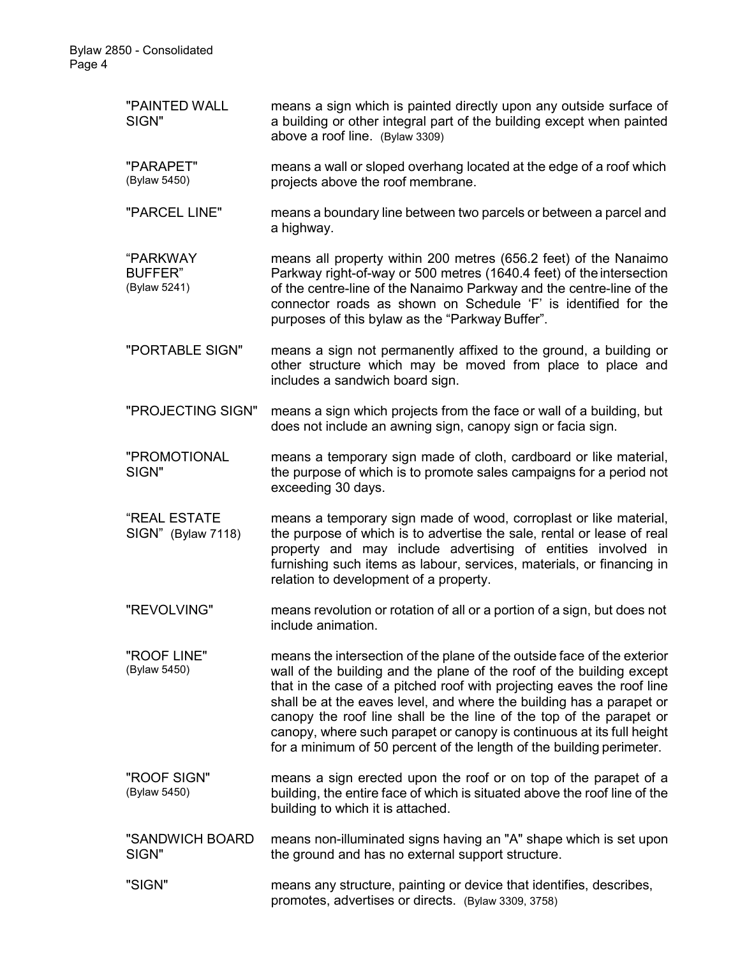| "PAINTED WALL<br>SIGN"                     | means a sign which is painted directly upon any outside surface of<br>a building or other integral part of the building except when painted<br>above a roof line. (Bylaw 3309)                                                                                                                                                                                                                                                                                                                                             |  |
|--------------------------------------------|----------------------------------------------------------------------------------------------------------------------------------------------------------------------------------------------------------------------------------------------------------------------------------------------------------------------------------------------------------------------------------------------------------------------------------------------------------------------------------------------------------------------------|--|
| "PARAPET"<br>(Bylaw 5450)                  | means a wall or sloped overhang located at the edge of a roof which<br>projects above the roof membrane.                                                                                                                                                                                                                                                                                                                                                                                                                   |  |
| "PARCEL LINE"                              | means a boundary line between two parcels or between a parcel and<br>a highway.                                                                                                                                                                                                                                                                                                                                                                                                                                            |  |
| "PARKWAY<br><b>BUFFER"</b><br>(Bylaw 5241) | means all property within 200 metres (656.2 feet) of the Nanaimo<br>Parkway right-of-way or 500 metres (1640.4 feet) of the intersection<br>of the centre-line of the Nanaimo Parkway and the centre-line of the<br>connector roads as shown on Schedule 'F' is identified for the<br>purposes of this bylaw as the "Parkway Buffer".                                                                                                                                                                                      |  |
| "PORTABLE SIGN"                            | means a sign not permanently affixed to the ground, a building or<br>other structure which may be moved from place to place and<br>includes a sandwich board sign.                                                                                                                                                                                                                                                                                                                                                         |  |
| "PROJECTING SIGN"                          | means a sign which projects from the face or wall of a building, but<br>does not include an awning sign, canopy sign or facia sign.                                                                                                                                                                                                                                                                                                                                                                                        |  |
| "PROMOTIONAL<br>SIGN"                      | means a temporary sign made of cloth, cardboard or like material,<br>the purpose of which is to promote sales campaigns for a period not<br>exceeding 30 days.                                                                                                                                                                                                                                                                                                                                                             |  |
| "REAL ESTATE<br>SIGN" (Bylaw 7118)         | means a temporary sign made of wood, corroplast or like material,<br>the purpose of which is to advertise the sale, rental or lease of real<br>property and may include advertising of entities involved in<br>furnishing such items as labour, services, materials, or financing in<br>relation to development of a property.                                                                                                                                                                                             |  |
| "REVOLVING"                                | means revolution or rotation of all or a portion of a sign, but does not<br>include animation.                                                                                                                                                                                                                                                                                                                                                                                                                             |  |
| "ROOF LINE"<br>(Bylaw 5450)                | means the intersection of the plane of the outside face of the exterior<br>wall of the building and the plane of the roof of the building except<br>that in the case of a pitched roof with projecting eaves the roof line<br>shall be at the eaves level, and where the building has a parapet or<br>canopy the roof line shall be the line of the top of the parapet or<br>canopy, where such parapet or canopy is continuous at its full height<br>for a minimum of 50 percent of the length of the building perimeter. |  |
| "ROOF SIGN"<br>(Bylaw 5450)                | means a sign erected upon the roof or on top of the parapet of a<br>building, the entire face of which is situated above the roof line of the<br>building to which it is attached.                                                                                                                                                                                                                                                                                                                                         |  |
| "SANDWICH BOARD<br>SIGN"                   | means non-illuminated signs having an "A" shape which is set upon<br>the ground and has no external support structure.                                                                                                                                                                                                                                                                                                                                                                                                     |  |
| "SIGN"                                     | means any structure, painting or device that identifies, describes,<br>promotes, advertises or directs. (Bylaw 3309, 3758)                                                                                                                                                                                                                                                                                                                                                                                                 |  |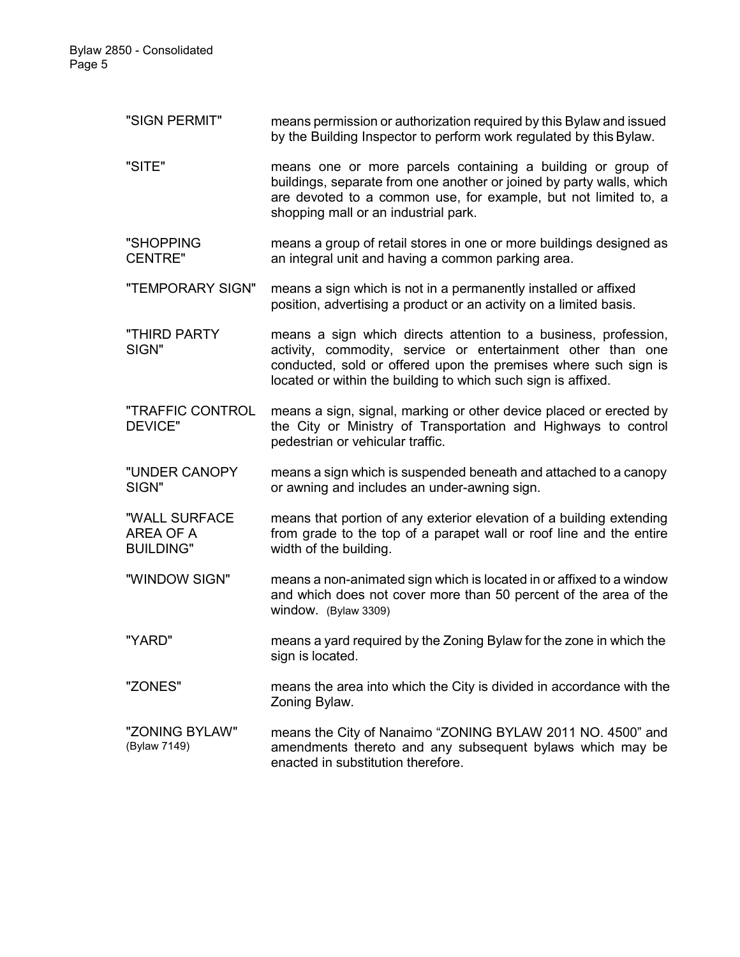"SIGN PERMIT" means permission or authorization required by this Bylaw and issued by the Building Inspector to perform work regulated by this Bylaw.

"SITE" means one or more parcels containing a building or group of buildings, separate from one another or joined by party walls, which are devoted to a common use, for example, but not limited to, a shopping mall or an industrial park.

"SHOPPING CENTRE" means a group of retail stores in one or more buildings designed as an integral unit and having a common parking area.

"TEMPORARY SIGN" means a sign which is not in a permanently installed or affixed position, advertising a product or an activity on a limited basis.

"THIRD PARTY SIGN" means a sign which directs attention to a business, profession, activity, commodity, service or entertainment other than one conducted, sold or offered upon the premises where such sign is located or within the building to which such sign is affixed.

"TRAFFIC CONTROL DEVICE" means a sign, signal, marking or other device placed or erected by the City or Ministry of Transportation and Highways to control pedestrian or vehicular traffic.

"UNDER CANOPY SIGN" means a sign which is suspended beneath and attached to a canopy or awning and includes an under-awning sign.

"WALL SURFACE AREA OF A **BUILDING"** means that portion of any exterior elevation of a building extending from grade to the top of a parapet wall or roof line and the entire width of the building.

- "WINDOW SIGN" means a non-animated sign which is located in or affixed to a window and which does not cover more than 50 percent of the area of the window. (Bylaw 3309)
- "YARD" means a yard required by the Zoning Bylaw for the zone in which the sign is located.

"ZONES" means the area into which the City is divided in accordance with the Zoning Bylaw.

"ZONING BYLAW" (Bylaw 7149) means the City of Nanaimo "ZONING BYLAW 2011 NO. 4500" and amendments thereto and any subsequent bylaws which may be enacted in substitution therefore.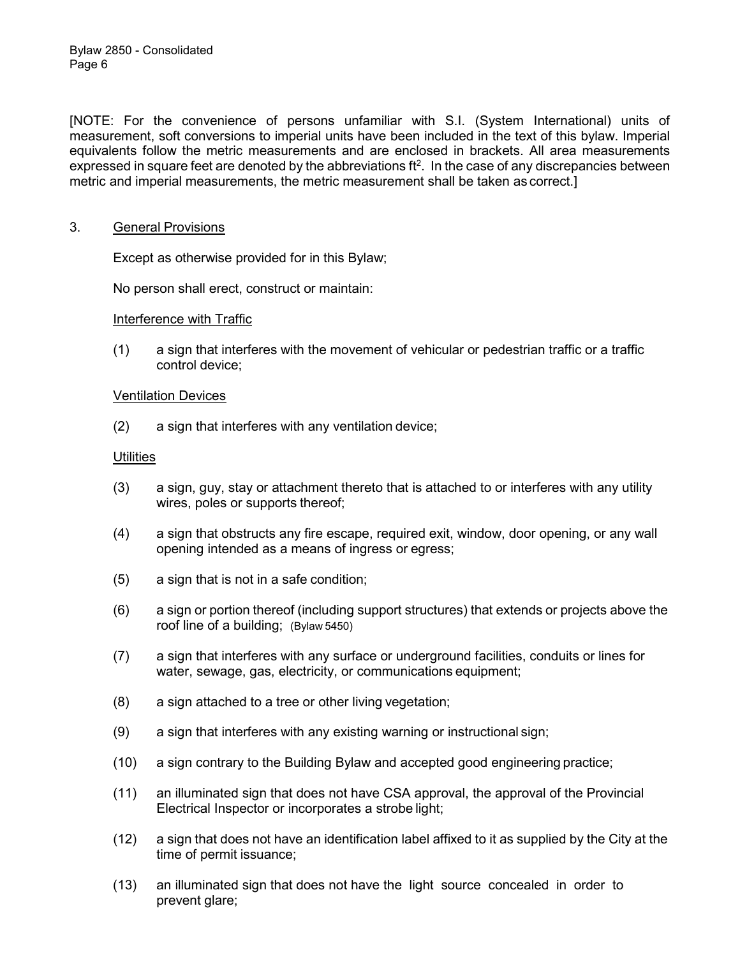[NOTE: For the convenience of persons unfamiliar with S.I. (System International) units of measurement, soft conversions to imperial units have been included in the text of this bylaw. Imperial equivalents follow the metric measurements and are enclosed in brackets. All area measurements expressed in square feet are denoted by the abbreviations  $ft^2$ . In the case of any discrepancies between metric and imperial measurements, the metric measurement shall be taken as correct.]

### 3. General Provisions

Except as otherwise provided for in this Bylaw;

No person shall erect, construct or maintain:

#### Interference with Traffic

(1) a sign that interferes with the movement of vehicular or pedestrian traffic or a traffic control device;

#### Ventilation Devices

(2) a sign that interferes with any ventilation device;

### **Utilities**

- (3) a sign, guy, stay or attachment thereto that is attached to or interferes with any utility wires, poles or supports thereof;
- (4) a sign that obstructs any fire escape, required exit, window, door opening, or any wall opening intended as a means of ingress or egress;
- (5) a sign that is not in a safe condition;
- (6) a sign or portion thereof (including support structures) that extends or projects above the roof line of a building; (Bylaw 5450)
- (7) a sign that interferes with any surface or underground facilities, conduits or lines for water, sewage, gas, electricity, or communications equipment;
- (8) a sign attached to a tree or other living vegetation;
- (9) a sign that interferes with any existing warning or instructional sign;
- (10) a sign contrary to the Building Bylaw and accepted good engineering practice;
- (11) an illuminated sign that does not have CSA approval, the approval of the Provincial Electrical Inspector or incorporates a strobe light;
- (12) a sign that does not have an identification label affixed to it as supplied by the City at the time of permit issuance;
- (13) an illuminated sign that does not have the light source concealed in order to prevent glare;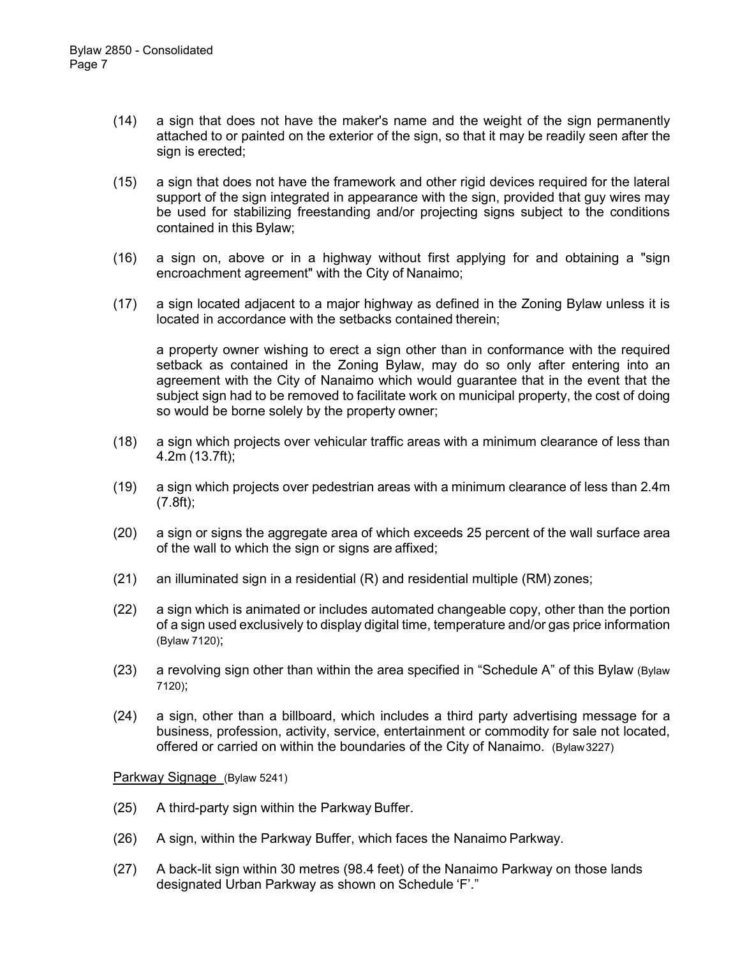- (14) a sign that does not have the maker's name and the weight of the sign permanently attached to or painted on the exterior of the sign, so that it may be readily seen after the sign is erected;
- (15) a sign that does not have the framework and other rigid devices required for the lateral support of the sign integrated in appearance with the sign, provided that guy wires may be used for stabilizing freestanding and/or projecting signs subject to the conditions contained in this Bylaw;
- (16) a sign on, above or in a highway without first applying for and obtaining a "sign encroachment agreement" with the City of Nanaimo;
- (17) a sign located adjacent to a major highway as defined in the Zoning Bylaw unless it is located in accordance with the setbacks contained therein;

a property owner wishing to erect a sign other than in conformance with the required setback as contained in the Zoning Bylaw, may do so only after entering into an agreement with the City of Nanaimo which would guarantee that in the event that the subject sign had to be removed to facilitate work on municipal property, the cost of doing so would be borne solely by the property owner;

- (18) a sign which projects over vehicular traffic areas with a minimum clearance of less than 4.2m (13.7ft);
- (19) a sign which projects over pedestrian areas with a minimum clearance of less than 2.4m (7.8ft);
- (20) a sign or signs the aggregate area of which exceeds 25 percent of the wall surface area of the wall to which the sign or signs are affixed;
- (21) an illuminated sign in a residential (R) and residential multiple (RM) zones;
- (22) a sign which is animated or includes automated changeable copy, other than the portion of a sign used exclusively to display digital time, temperature and/or gas price information (Bylaw 7120);
- (23) a revolving sign other than within the area specified in "Schedule A" of this Bylaw (Bylaw 7120);
- (24) a sign, other than a billboard, which includes a third party advertising message for a business, profession, activity, service, entertainment or commodity for sale not located, offered or carried on within the boundaries of the City of Nanaimo. (Bylaw3227)

#### Parkway Signage (Bylaw 5241)

- (25) A third-party sign within the Parkway Buffer.
- (26) A sign, within the Parkway Buffer, which faces the Nanaimo Parkway.
- (27) A back-lit sign within 30 metres (98.4 feet) of the Nanaimo Parkway on those lands designated Urban Parkway as shown on Schedule 'F'."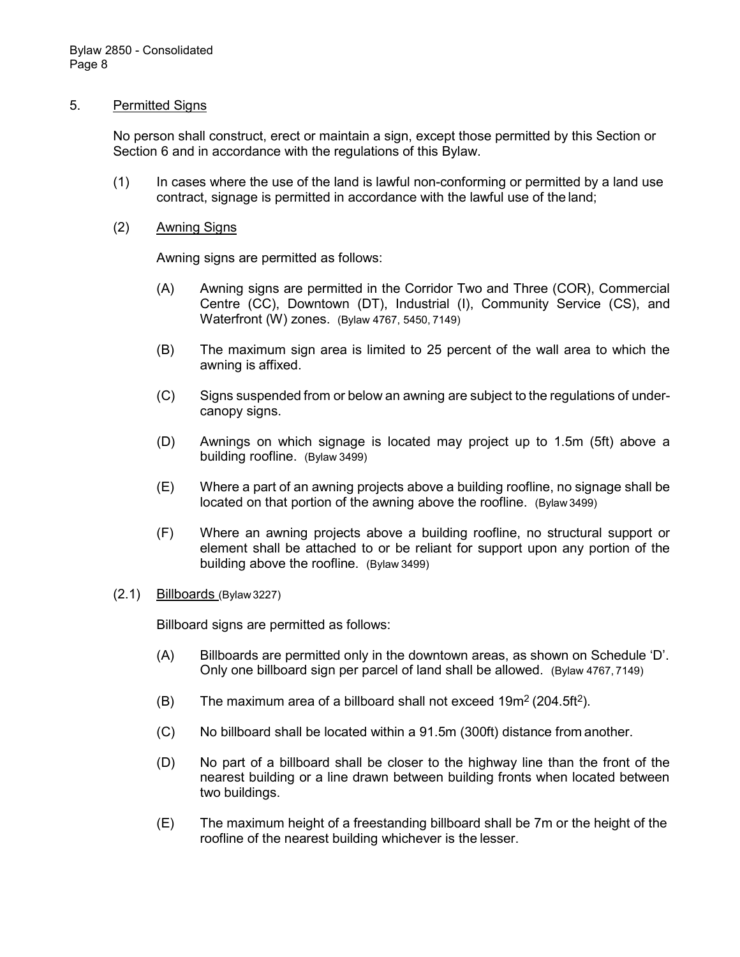#### 5. Permitted Signs

No person shall construct, erect or maintain a sign, except those permitted by this Section or Section 6 and in accordance with the regulations of this Bylaw.

- (1) In cases where the use of the land is lawful non-conforming or permitted by a land use contract, signage is permitted in accordance with the lawful use of the land;
- (2) Awning Signs

Awning signs are permitted as follows:

- (A) Awning signs are permitted in the Corridor Two and Three (COR), Commercial Centre (CC), Downtown (DT), Industrial (I), Community Service (CS), and Waterfront (W) zones. (Bylaw 4767, 5450, 7149)
- (B) The maximum sign area is limited to 25 percent of the wall area to which the awning is affixed.
- (C) Signs suspended from or below an awning are subject to the regulations of undercanopy signs.
- (D) Awnings on which signage is located may project up to 1.5m (5ft) above a building roofline. (Bylaw 3499)
- (E) Where a part of an awning projects above a building roofline, no signage shall be located on that portion of the awning above the roofline. (Bylaw 3499)
- (F) Where an awning projects above a building roofline, no structural support or element shall be attached to or be reliant for support upon any portion of the building above the roofline. (Bylaw 3499)

#### (2.1) Billboards (Bylaw 3227)

Billboard signs are permitted as follows:

- (A) Billboards are permitted only in the downtown areas, as shown on Schedule 'D'. Only one billboard sign per parcel of land shall be allowed. (Bylaw 4767, 7149)
- (B) The maximum area of a billboard shall not exceed  $19m^2 (204.5ft^2)$ .
- (C) No billboard shall be located within a 91.5m (300ft) distance from another.
- (D) No part of a billboard shall be closer to the highway line than the front of the nearest building or a line drawn between building fronts when located between two buildings.
- (E) The maximum height of a freestanding billboard shall be 7m or the height of the roofline of the nearest building whichever is the lesser.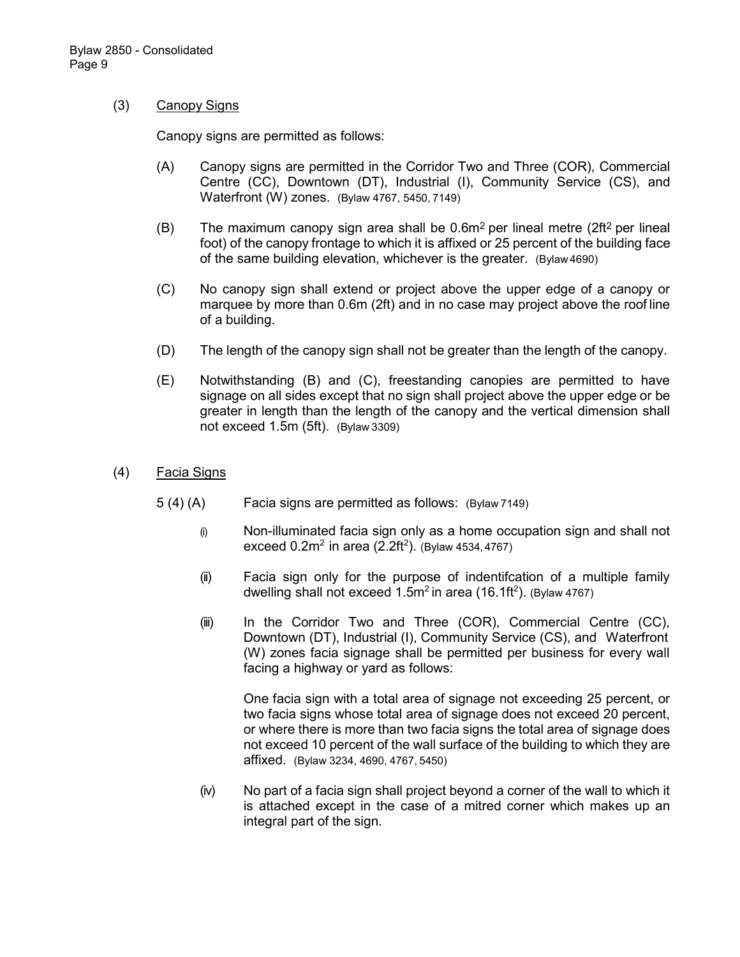### (3) Canopy Signs

Canopy signs are permitted as follows:

- (A) Canopy signs are permitted in the Corridor Two and Three (COR), Commercial Centre (CC), Downtown (DT), Industrial (I), Community Service (CS), and Waterfront (W) zones. (Bylaw 4767, 5450, 7149)
- (B) The maximum canopy sign area shall be  $0.6m^2$  per lineal metre (2ft<sup>2</sup> per lineal foot) of the canopy frontage to which it is affixed or 25 percent of the building face of the same building elevation, whichever is the greater. (Bylaw 4690)
- (C) No canopy sign shall extend or project above the upper edge of a canopy or marquee by more than 0.6m (2ft) and in no case may project above the roof line of a building.
- (D) The length of the canopy sign shall not be greater than the length of the canopy.
- (E) Notwithstanding (B) and (C), freestanding canopies are permitted to have signage on all sides except that no sign shall project above the upper edge or be greater in length than the length of the canopy and the vertical dimension shall not exceed 1.5m (5ft). (Bylaw 3309)
- (4) Facia Signs
	- 5 (4) (A) Facia signs are permitted as follows: (Bylaw 7149)
		- (i) Non-illuminated facia sign only as a home occupation sign and shall not exceed  $0.2m^2$  in area (2.2ft<sup>2</sup>). (Bylaw 4534,4767)
		- (ii) Facia sign only for the purpose of indentifcation of a multiple family dwelling shall not exceed 1.5m $^2$ in area (16.1ft $^2$ ). (Bylaw 4767)
		- (iii) In the Corridor Two and Three (COR), Commercial Centre (CC), Downtown (DT), Industrial (I), Community Service (CS), and Waterfront (W) zones facia signage shall be permitted per business for every wall facing a highway or yard as follows:

One facia sign with a total area of signage not exceeding 25 percent, or two facia signs whose total area of signage does not exceed 20 percent, or where there is more than two facia signs the total area of signage does not exceed 10 percent of the wall surface of the building to which they are affixed. (Bylaw 3234, 4690, 4767, 5450)

(iv) No part of a facia sign shall project beyond a corner of the wall to which it is attached except in the case of a mitred corner which makes up an integral part of the sign.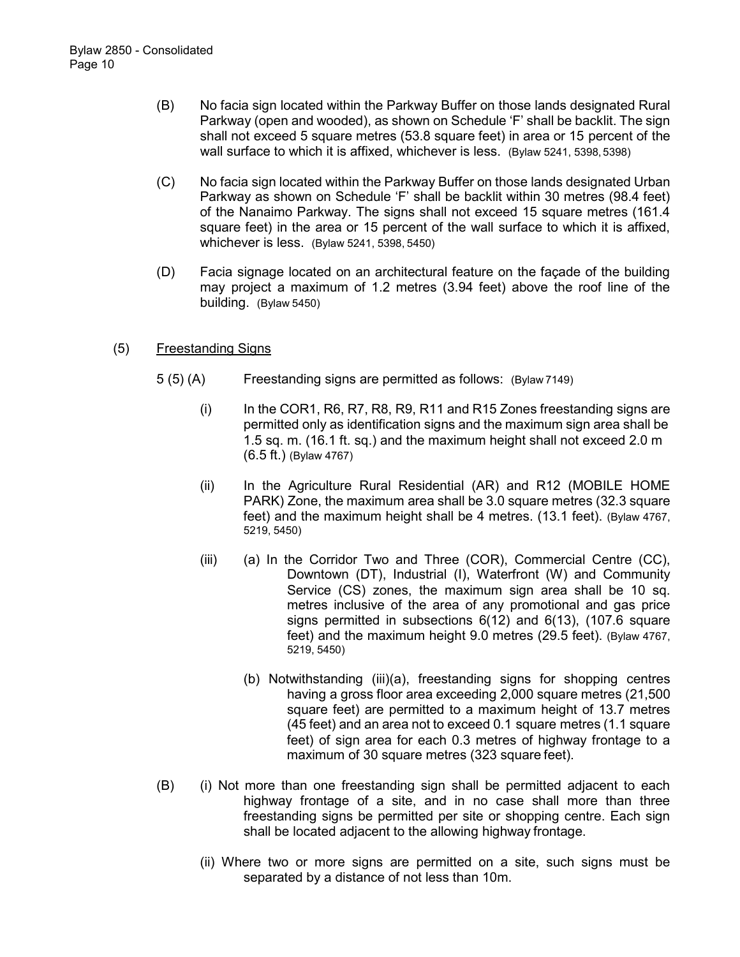- (B) No facia sign located within the Parkway Buffer on those lands designated Rural Parkway (open and wooded), as shown on Schedule 'F' shall be backlit. The sign shall not exceed 5 square metres (53.8 square feet) in area or 15 percent of the wall surface to which it is affixed, whichever is less. (Bylaw 5241, 5398, 5398)
- (C) No facia sign located within the Parkway Buffer on those lands designated Urban Parkway as shown on Schedule 'F' shall be backlit within 30 metres (98.4 feet) of the Nanaimo Parkway. The signs shall not exceed 15 square metres (161.4 square feet) in the area or 15 percent of the wall surface to which it is affixed, whichever is less. (Bylaw 5241, 5398, 5450)
- (D) Facia signage located on an architectural feature on the façade of the building may project a maximum of 1.2 metres (3.94 feet) above the roof line of the building. (Bylaw 5450)

### (5) Freestanding Signs

- 5 (5) (A) Freestanding signs are permitted as follows: (Bylaw 7149)
	- (i) In the COR1, R6, R7, R8, R9, R11 and R15 Zones freestanding signs are permitted only as identification signs and the maximum sign area shall be 1.5 sq. m. (16.1 ft. sq.) and the maximum height shall not exceed 2.0 m (6.5 ft.) (Bylaw 4767)
	- (ii) In the Agriculture Rural Residential (AR) and R12 (MOBILE HOME PARK) Zone, the maximum area shall be 3.0 square metres (32.3 square feet) and the maximum height shall be 4 metres. (13.1 feet). (Bylaw 4767, 5219, 5450)
	- (iii) (a) In the Corridor Two and Three (COR), Commercial Centre (CC), Downtown (DT), Industrial (I), Waterfront (W) and Community Service (CS) zones, the maximum sign area shall be 10 sq. metres inclusive of the area of any promotional and gas price signs permitted in subsections 6(12) and 6(13), (107.6 square feet) and the maximum height 9.0 metres (29.5 feet). (Bylaw 4767, 5219, 5450)
		- (b) Notwithstanding (iii)(a), freestanding signs for shopping centres having a gross floor area exceeding 2,000 square metres (21,500 square feet) are permitted to a maximum height of 13.7 metres (45 feet) and an area not to exceed 0.1 square metres (1.1 square feet) of sign area for each 0.3 metres of highway frontage to a maximum of 30 square metres (323 square feet).
- (B) (i) Not more than one freestanding sign shall be permitted adjacent to each highway frontage of a site, and in no case shall more than three freestanding signs be permitted per site or shopping centre. Each sign shall be located adjacent to the allowing highway frontage.
	- (ii) Where two or more signs are permitted on a site, such signs must be separated by a distance of not less than 10m.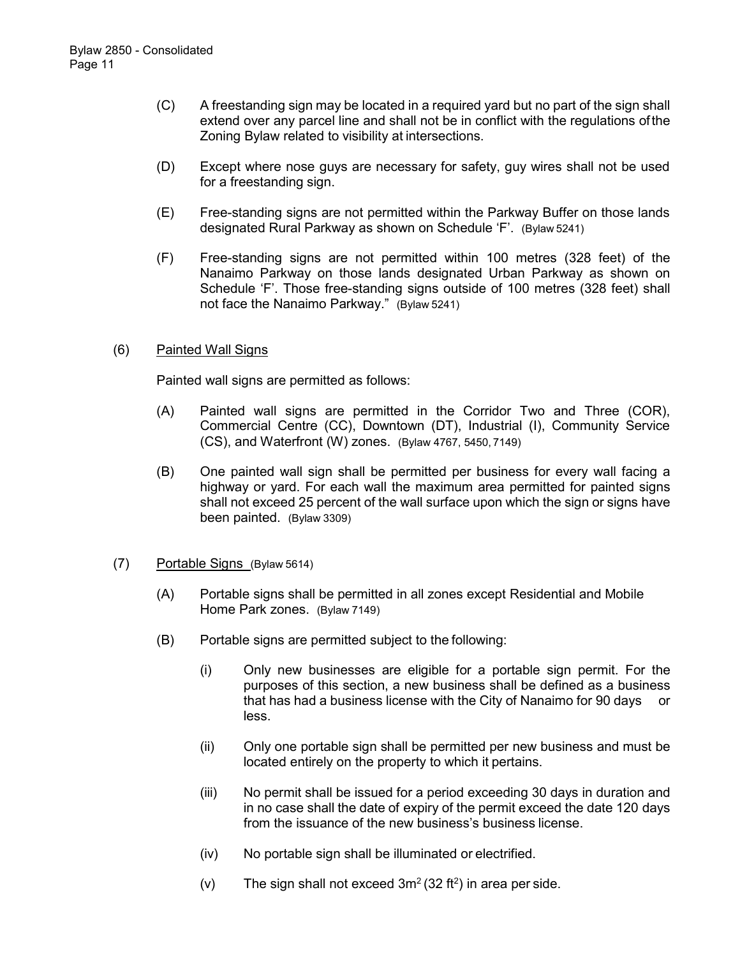- (C) A freestanding sign may be located in a required yard but no part of the sign shall extend over any parcel line and shall not be in conflict with the regulations ofthe Zoning Bylaw related to visibility at intersections.
- (D) Except where nose guys are necessary for safety, guy wires shall not be used for a freestanding sign.
- (E) Free-standing signs are not permitted within the Parkway Buffer on those lands designated Rural Parkway as shown on Schedule 'F'. (Bylaw 5241)
- (F) Free-standing signs are not permitted within 100 metres (328 feet) of the Nanaimo Parkway on those lands designated Urban Parkway as shown on Schedule 'F'. Those free-standing signs outside of 100 metres (328 feet) shall not face the Nanaimo Parkway." (Bylaw 5241)

### (6) Painted Wall Signs

Painted wall signs are permitted as follows:

- (A) Painted wall signs are permitted in the Corridor Two and Three (COR), Commercial Centre (CC), Downtown (DT), Industrial (I), Community Service (CS), and Waterfront (W) zones. (Bylaw 4767, 5450, 7149)
- (B) One painted wall sign shall be permitted per business for every wall facing a highway or yard. For each wall the maximum area permitted for painted signs shall not exceed 25 percent of the wall surface upon which the sign or signs have been painted. (Bylaw 3309)
- (7) Portable Signs (Bylaw 5614)
	- (A) Portable signs shall be permitted in all zones except Residential and Mobile Home Park zones. (Bylaw 7149)
	- (B) Portable signs are permitted subject to the following:
		- (i) Only new businesses are eligible for a portable sign permit. For the purposes of this section, a new business shall be defined as a business that has had a business license with the City of Nanaimo for 90 days less.
		- (ii) Only one portable sign shall be permitted per new business and must be located entirely on the property to which it pertains.
		- (iii) No permit shall be issued for a period exceeding 30 days in duration and in no case shall the date of expiry of the permit exceed the date 120 days from the issuance of the new business's business license.
		- (iv) No portable sign shall be illuminated or electrified.
		- (v) The sign shall not exceed  $3m^2(32 ft^2)$  in area per side.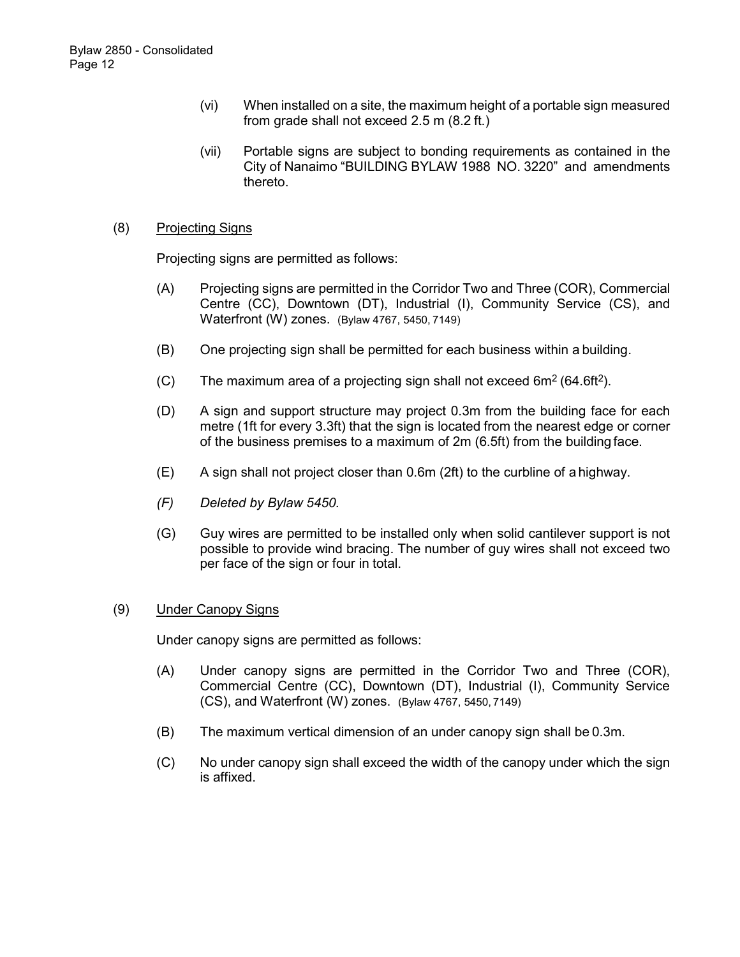- (vi) When installed on a site, the maximum height of a portable sign measured from grade shall not exceed 2.5 m (8.2 ft.)
- (vii) Portable signs are subject to bonding requirements as contained in the City of Nanaimo "BUILDING BYLAW 1988 NO. 3220" and amendments thereto.

### (8) Projecting Signs

Projecting signs are permitted as follows:

- (A) Projecting signs are permitted in the Corridor Two and Three (COR), Commercial Centre (CC), Downtown (DT), Industrial (I), Community Service (CS), and Waterfront (W) zones. (Bylaw 4767, 5450, 7149)
- (B) One projecting sign shall be permitted for each business within a building.
- (C) The maximum area of a projecting sign shall not exceed  $6m^2$  (64.6ft<sup>2</sup>).
- (D) A sign and support structure may project 0.3m from the building face for each metre (1ft for every 3.3ft) that the sign is located from the nearest edge or corner of the business premises to a maximum of 2m (6.5ft) from the building face.
- (E) A sign shall not project closer than 0.6m (2ft) to the curbline of a highway.
- *(F) Deleted by Bylaw 5450.*
- (G) Guy wires are permitted to be installed only when solid cantilever support is not possible to provide wind bracing. The number of guy wires shall not exceed two per face of the sign or four in total.

### (9) Under Canopy Signs

Under canopy signs are permitted as follows:

- (A) Under canopy signs are permitted in the Corridor Two and Three (COR), Commercial Centre (CC), Downtown (DT), Industrial (I), Community Service (CS), and Waterfront (W) zones. (Bylaw 4767, 5450, 7149)
- (B) The maximum vertical dimension of an under canopy sign shall be 0.3m.
- (C) No under canopy sign shall exceed the width of the canopy under which the sign is affixed.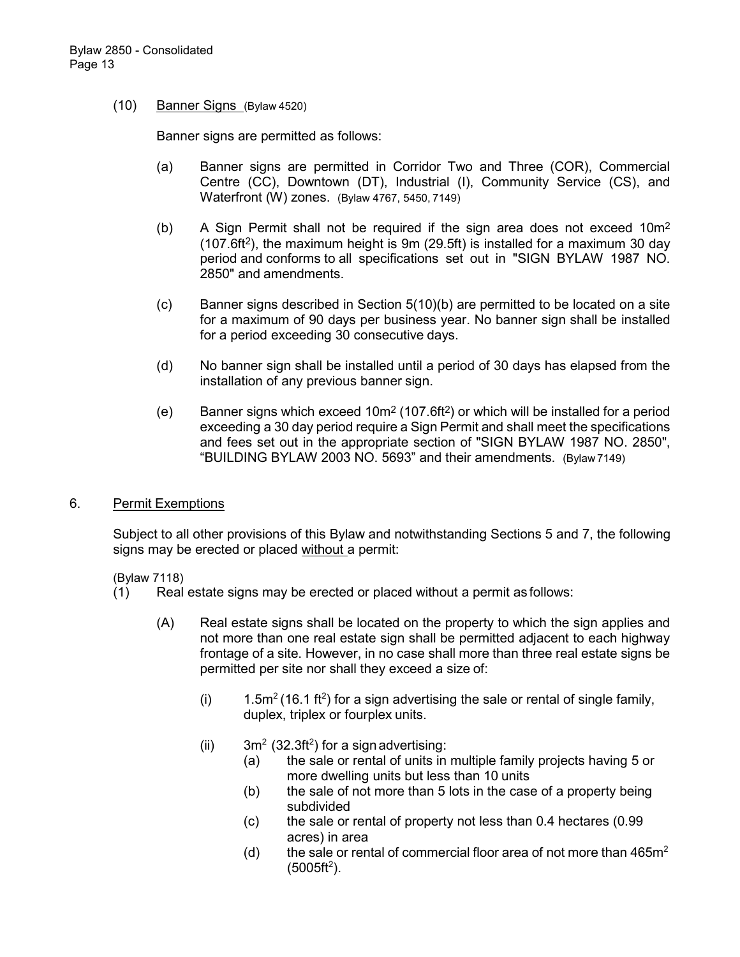#### (10) Banner Signs (Bylaw 4520)

Banner signs are permitted as follows:

- (a) Banner signs are permitted in Corridor Two and Three (COR), Commercial Centre (CC), Downtown (DT), Industrial (I), Community Service (CS), and Waterfront (W) zones. (Bylaw 4767, 5450, 7149)
- (b) A Sign Permit shall not be required if the sign area does not exceed  $10m^2$  $(107.6ft<sup>2</sup>)$ , the maximum height is 9m (29.5ft) is installed for a maximum 30 day period and conforms to all specifications set out in "SIGN BYLAW 1987 NO. 2850" and amendments.
- (c) Banner signs described in Section 5(10)(b) are permitted to be located on a site for a maximum of 90 days per business year. No banner sign shall be installed for a period exceeding 30 consecutive days.
- (d) No banner sign shall be installed until a period of 30 days has elapsed from the installation of any previous banner sign.
- (e) Banner signs which exceed  $10m^2 (107.6ft^2)$  or which will be installed for a period exceeding a 30 day period require a Sign Permit and shall meet the specifications and fees set out in the appropriate section of "SIGN BYLAW 1987 NO. 2850", "BUILDING BYLAW 2003 NO. 5693" and their amendments. (Bylaw 7149)

#### 6. Permit Exemptions

Subject to all other provisions of this Bylaw and notwithstanding Sections 5 and 7, the following signs may be erected or placed without a permit:

#### (Bylaw 7118)

- (1) Real estate signs may be erected or placed without a permit as follows:
	- (A) Real estate signs shall be located on the property to which the sign applies and not more than one real estate sign shall be permitted adjacent to each highway frontage of a site. However, in no case shall more than three real estate signs be permitted per site nor shall they exceed a size of:
		- (i) 1.5m<sup>2</sup> (16.1 ft<sup>2</sup>) for a sign advertising the sale or rental of single family, duplex, triplex or fourplex units.
		- (ii)  $3m^2$  (32.3ft<sup>2</sup>) for a sign advertising:
			- (a) the sale or rental of units in multiple family projects having 5 or more dwelling units but less than 10 units
			- (b) the sale of not more than 5 lots in the case of a property being subdivided
			- (c) the sale or rental of property not less than 0.4 hectares (0.99 acres) in area
			- (d) the sale or rental of commercial floor area of not more than  $465m<sup>2</sup>$  $(5005 ft<sup>2</sup>)$ .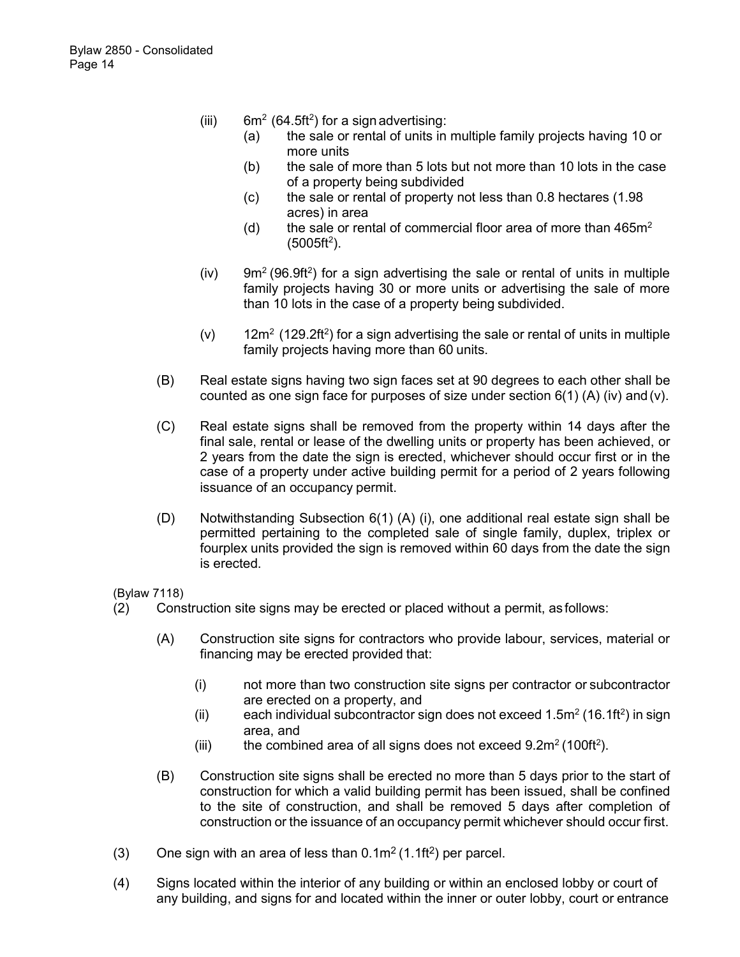- (iii)  $6m^2$  (64.5ft<sup>2</sup>) for a sign advertising:
	- (a) the sale or rental of units in multiple family projects having 10 or more units
	- (b) the sale of more than 5 lots but not more than 10 lots in the case of a property being subdivided
	- (c) the sale or rental of property not less than 0.8 hectares (1.98 acres) in area
	- (d) the sale or rental of commercial floor area of more than  $465m<sup>2</sup>$  $(5005 ft<sup>2</sup>)$ .
- (iv) 9m<sup>2</sup> (96.9ft<sup>2</sup>) for a sign advertising the sale or rental of units in multiple family projects having 30 or more units or advertising the sale of more than 10 lots in the case of a property being subdivided.
- (v)  $12m^2$  (129.2ft<sup>2</sup>) for a sign advertising the sale or rental of units in multiple family projects having more than 60 units.
- (B) Real estate signs having two sign faces set at 90 degrees to each other shall be counted as one sign face for purposes of size under section  $6(1)$  (A) (iv) and (v).
- (C) Real estate signs shall be removed from the property within 14 days after the final sale, rental or lease of the dwelling units or property has been achieved, or 2 years from the date the sign is erected, whichever should occur first or in the case of a property under active building permit for a period of 2 years following issuance of an occupancy permit.
- (D) Notwithstanding Subsection 6(1) (A) (i), one additional real estate sign shall be permitted pertaining to the completed sale of single family, duplex, triplex or fourplex units provided the sign is removed within 60 days from the date the sign is erected.

(Bylaw 7118)

- (2) Construction site signs may be erected or placed without a permit, as follows:
	- (A) Construction site signs for contractors who provide labour, services, material or financing may be erected provided that:
		- (i) not more than two construction site signs per contractor or subcontractor are erected on a property, and
		- (ii) each individual subcontractor sign does not exceed  $1.5m^2$  (16.1ft<sup>2</sup>) in sign area, and
		- (iii) the combined area of all signs does not exceed  $9.2m^2$  (100ft<sup>2</sup>).
	- (B) Construction site signs shall be erected no more than 5 days prior to the start of construction for which a valid building permit has been issued, shall be confined to the site of construction, and shall be removed 5 days after completion of construction or the issuance of an occupancy permit whichever should occur first.
- (3) One sign with an area of less than  $0.1 \text{m}^2 (1.1 \text{ft}^2)$  per parcel.
- (4) Signs located within the interior of any building or within an enclosed lobby or court of any building, and signs for and located within the inner or outer lobby, court or entrance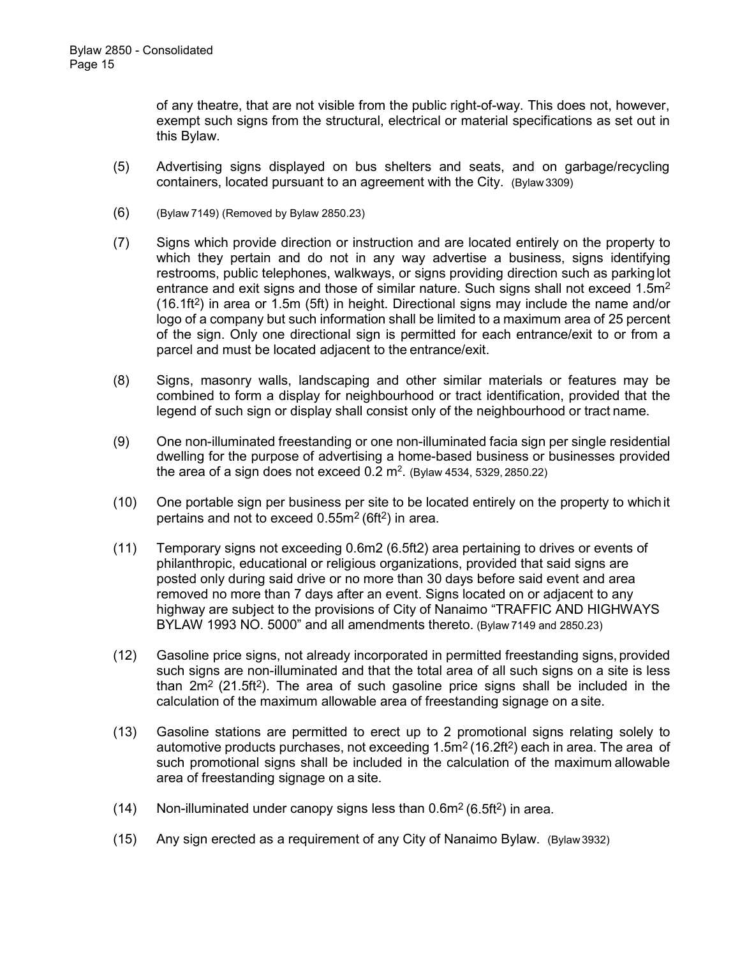of any theatre, that are not visible from the public right-of-way. This does not, however, exempt such signs from the structural, electrical or material specifications as set out in this Bylaw.

- (5) Advertising signs displayed on bus shelters and seats, and on garbage/recycling containers, located pursuant to an agreement with the City. (Bylaw3309)
- (6) (Bylaw 7149) (Removed by Bylaw 2850.23)
- (7) Signs which provide direction or instruction and are located entirely on the property to which they pertain and do not in any way advertise a business, signs identifying restrooms, public telephones, walkways, or signs providing direction such as parkinglot entrance and exit signs and those of similar nature. Such signs shall not exceed  $1.5m<sup>2</sup>$  $(16.1\text{ft}^2)$  in area or 1.5m (5ft) in height. Directional signs may include the name and/or logo of a company but such information shall be limited to a maximum area of 25 percent of the sign. Only one directional sign is permitted for each entrance/exit to or from a parcel and must be located adjacent to the entrance/exit.
- (8) Signs, masonry walls, landscaping and other similar materials or features may be combined to form a display for neighbourhood or tract identification, provided that the legend of such sign or display shall consist only of the neighbourhood or tract name.
- (9) One non-illuminated freestanding or one non-illuminated facia sign per single residential dwelling for the purpose of advertising a home-based business or businesses provided the area of a sign does not exceed 0.2  $\mathrm{m}^2$ . (Bylaw 4534, 5329, 2850.22)
- (10) One portable sign per business per site to be located entirely on the property to whichit pertains and not to exceed  $0.55m^2$  (6ft<sup>2</sup>) in area.
- (11) Temporary signs not exceeding 0.6m2 (6.5ft2) area pertaining to drives or events of philanthropic, educational or religious organizations, provided that said signs are posted only during said drive or no more than 30 days before said event and area removed no more than 7 days after an event. Signs located on or adjacent to any highway are subject to the provisions of City of Nanaimo "TRAFFIC AND HIGHWAYS BYLAW 1993 NO. 5000" and all amendments thereto. (Bylaw 7149 and 2850.23)
- (12) Gasoline price signs, not already incorporated in permitted freestanding signs, provided such signs are non-illuminated and that the total area of all such signs on a site is less than  $2m^2$  (21.5ft<sup>2</sup>). The area of such gasoline price signs shall be included in the calculation of the maximum allowable area of freestanding signage on a site.
- (13) Gasoline stations are permitted to erect up to 2 promotional signs relating solely to automotive products purchases, not exceeding  $1.5m<sup>2</sup>$  (16.2ft<sup>2</sup>) each in area. The area of such promotional signs shall be included in the calculation of the maximum allowable area of freestanding signage on a site.
- (14) Non-illuminated under canopy signs less than  $0.6m^2$  (6.5ft<sup>2</sup>) in area.
- (15) Any sign erected as a requirement of any City of Nanaimo Bylaw. (Bylaw 3932)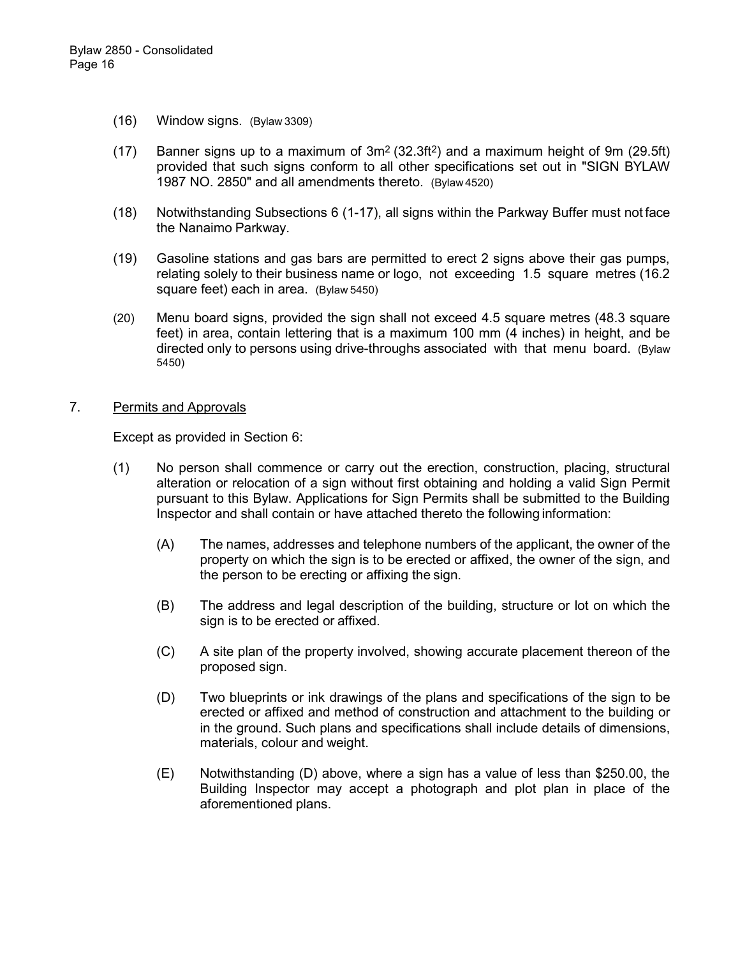- (16) Window signs. (Bylaw 3309)
- (17) Banner signs up to a maximum of  $3m^2$  (32.3ft<sup>2</sup>) and a maximum height of 9m (29.5ft) provided that such signs conform to all other specifications set out in "SIGN BYLAW 1987 NO. 2850" and all amendments thereto. (Bylaw 4520)
- (18) Notwithstanding Subsections 6 (1-17), all signs within the Parkway Buffer must not face the Nanaimo Parkway.
- (19) Gasoline stations and gas bars are permitted to erect 2 signs above their gas pumps, relating solely to their business name or logo, not exceeding 1.5 square metres (16.2 square feet) each in area. (Bylaw 5450)
- (20) Menu board signs, provided the sign shall not exceed 4.5 square metres (48.3 square feet) in area, contain lettering that is a maximum 100 mm (4 inches) in height, and be directed only to persons using drive-throughs associated with that menu board. (Bylaw 5450)

### 7. Permits and Approvals

Except as provided in Section 6:

- (1) No person shall commence or carry out the erection, construction, placing, structural alteration or relocation of a sign without first obtaining and holding a valid Sign Permit pursuant to this Bylaw. Applications for Sign Permits shall be submitted to the Building Inspector and shall contain or have attached thereto the following information:
	- (A) The names, addresses and telephone numbers of the applicant, the owner of the property on which the sign is to be erected or affixed, the owner of the sign, and the person to be erecting or affixing the sign.
	- (B) The address and legal description of the building, structure or lot on which the sign is to be erected or affixed.
	- (C) A site plan of the property involved, showing accurate placement thereon of the proposed sign.
	- (D) Two blueprints or ink drawings of the plans and specifications of the sign to be erected or affixed and method of construction and attachment to the building or in the ground. Such plans and specifications shall include details of dimensions, materials, colour and weight.
	- (E) Notwithstanding (D) above, where a sign has a value of less than \$250.00, the Building Inspector may accept a photograph and plot plan in place of the aforementioned plans.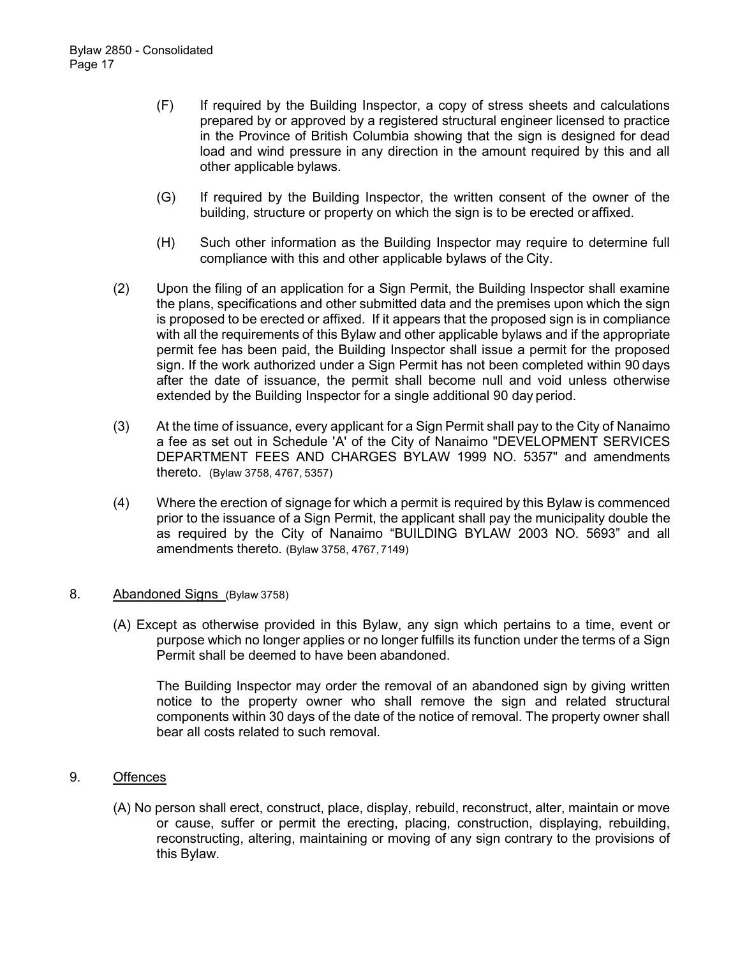- (F) If required by the Building Inspector, a copy of stress sheets and calculations prepared by or approved by a registered structural engineer licensed to practice in the Province of British Columbia showing that the sign is designed for dead load and wind pressure in any direction in the amount required by this and all other applicable bylaws.
- (G) If required by the Building Inspector, the written consent of the owner of the building, structure or property on which the sign is to be erected or affixed.
- (H) Such other information as the Building Inspector may require to determine full compliance with this and other applicable bylaws of the City.
- (2) Upon the filing of an application for a Sign Permit, the Building Inspector shall examine the plans, specifications and other submitted data and the premises upon which the sign is proposed to be erected or affixed. If it appears that the proposed sign is in compliance with all the requirements of this Bylaw and other applicable bylaws and if the appropriate permit fee has been paid, the Building Inspector shall issue a permit for the proposed sign. If the work authorized under a Sign Permit has not been completed within 90 days after the date of issuance, the permit shall become null and void unless otherwise extended by the Building Inspector for a single additional 90 day period.
- (3) At the time of issuance, every applicant for a Sign Permit shall pay to the City of Nanaimo a fee as set out in Schedule 'A' of the City of Nanaimo "DEVELOPMENT SERVICES DEPARTMENT FEES AND CHARGES BYLAW 1999 NO. 5357" and amendments thereto. (Bylaw 3758, 4767, 5357)
- (4) Where the erection of signage for which a permit is required by this Bylaw is commenced prior to the issuance of a Sign Permit, the applicant shall pay the municipality double the as required by the City of Nanaimo "BUILDING BYLAW 2003 NO. 5693" and all amendments thereto. (Bylaw 3758, 4767, 7149)

#### 8. Abandoned Signs (Bylaw 3758)

(A) Except as otherwise provided in this Bylaw, any sign which pertains to a time, event or purpose which no longer applies or no longer fulfills its function under the terms of a Sign Permit shall be deemed to have been abandoned.

The Building Inspector may order the removal of an abandoned sign by giving written notice to the property owner who shall remove the sign and related structural components within 30 days of the date of the notice of removal. The property owner shall bear all costs related to such removal.

- 9. Offences
	- (A) No person shall erect, construct, place, display, rebuild, reconstruct, alter, maintain or move or cause, suffer or permit the erecting, placing, construction, displaying, rebuilding, reconstructing, altering, maintaining or moving of any sign contrary to the provisions of this Bylaw.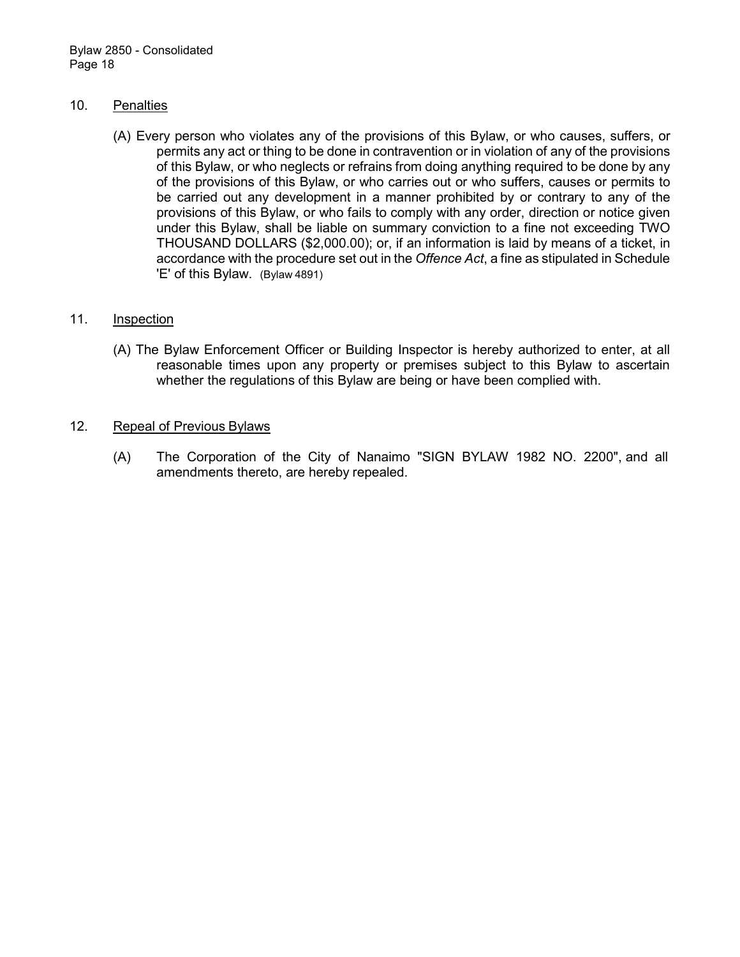### 10. Penalties

(A) Every person who violates any of the provisions of this Bylaw, or who causes, suffers, or permits any act or thing to be done in contravention or in violation of any of the provisions of this Bylaw, or who neglects or refrains from doing anything required to be done by any of the provisions of this Bylaw, or who carries out or who suffers, causes or permits to be carried out any development in a manner prohibited by or contrary to any of the provisions of this Bylaw, or who fails to comply with any order, direction or notice given under this Bylaw, shall be liable on summary conviction to a fine not exceeding TWO THOUSAND DOLLARS (\$2,000.00); or, if an information is laid by means of a ticket, in accordance with the procedure set out in the *Offence Act*, a fine as stipulated in Schedule 'E' of this Bylaw. (Bylaw 4891)

### 11. Inspection

(A) The Bylaw Enforcement Officer or Building Inspector is hereby authorized to enter, at all reasonable times upon any property or premises subject to this Bylaw to ascertain whether the regulations of this Bylaw are being or have been complied with.

### 12. Repeal of Previous Bylaws

(A) The Corporation of the City of Nanaimo "SIGN BYLAW 1982 NO. 2200", and all amendments thereto, are hereby repealed.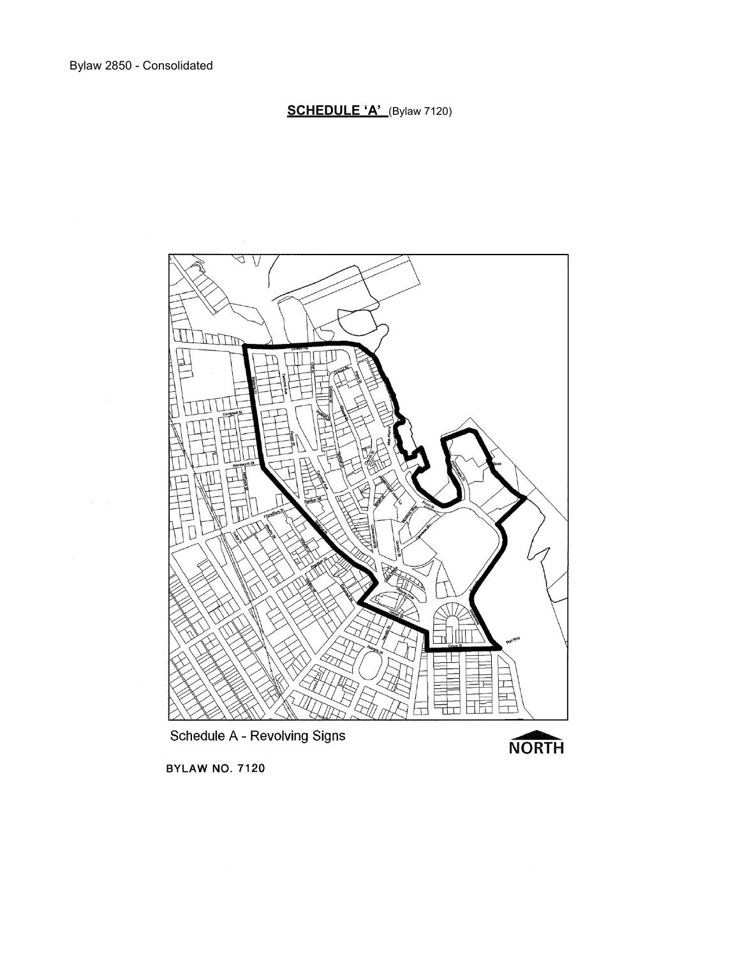**SCHEDULE 'A'** (Bylaw 7120)



**BYLAW NO. 7120**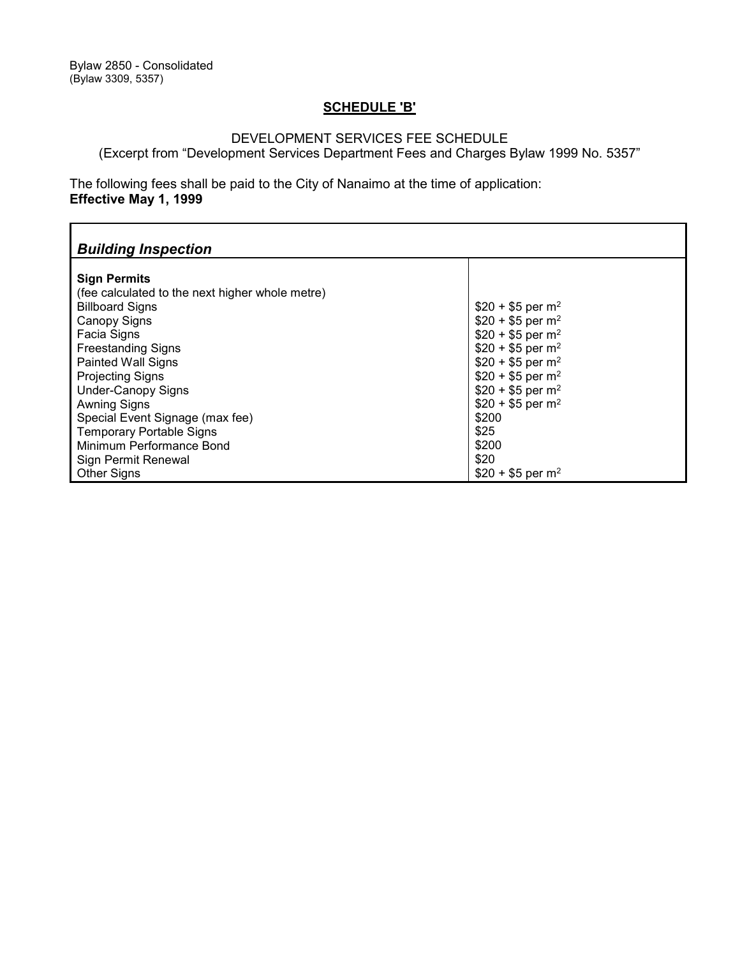## **SCHEDULE 'B'**

### DEVELOPMENT SERVICES FEE SCHEDULE

(Excerpt from "Development Services Department Fees and Charges Bylaw 1999 No. 5357"

The following fees shall be paid to the City of Nanaimo at the time of application: **Effective May 1, 1999**

| <b>Building Inspection</b>                                                                                                                                                                                                                                                                                                                                                        |                                                                                                                                                                                                                                                                                                |  |  |  |  |
|-----------------------------------------------------------------------------------------------------------------------------------------------------------------------------------------------------------------------------------------------------------------------------------------------------------------------------------------------------------------------------------|------------------------------------------------------------------------------------------------------------------------------------------------------------------------------------------------------------------------------------------------------------------------------------------------|--|--|--|--|
| <b>Sign Permits</b><br>(fee calculated to the next higher whole metre)<br><b>Billboard Signs</b><br><b>Canopy Signs</b><br>Facia Signs<br><b>Freestanding Signs</b><br><b>Painted Wall Signs</b><br><b>Projecting Signs</b><br><b>Under-Canopy Signs</b><br><b>Awning Signs</b><br>Special Event Signage (max fee)<br><b>Temporary Portable Signs</b><br>Minimum Performance Bond | $$20 + $5$ per m <sup>2</sup><br>$$20 + $5$ per m <sup>2</sup><br>$$20 + $5$ per m <sup>2</sup><br>$$20 + $5$ per m <sup>2</sup><br>$$20 + $5$ per m <sup>2</sup><br>$$20 + $5$ per m <sup>2</sup><br>$$20 + $5$ per m <sup>2</sup><br>$$20 + $5$ per m <sup>2</sup><br>\$200<br>\$25<br>\$200 |  |  |  |  |
| Sign Permit Renewal                                                                                                                                                                                                                                                                                                                                                               | \$20                                                                                                                                                                                                                                                                                           |  |  |  |  |
| <b>Other Signs</b>                                                                                                                                                                                                                                                                                                                                                                | $$20 + $5$ per m <sup>2</sup>                                                                                                                                                                                                                                                                  |  |  |  |  |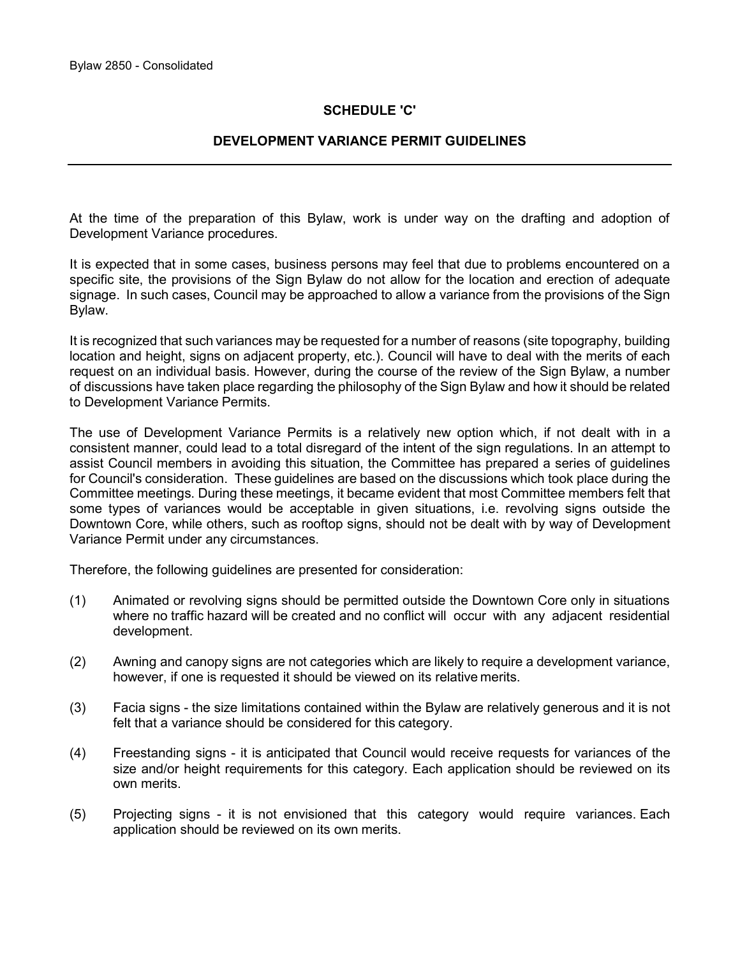### **SCHEDULE 'C'**

### **DEVELOPMENT VARIANCE PERMIT GUIDELINES**

At the time of the preparation of this Bylaw, work is under way on the drafting and adoption of Development Variance procedures.

It is expected that in some cases, business persons may feel that due to problems encountered on a specific site, the provisions of the Sign Bylaw do not allow for the location and erection of adequate signage. In such cases, Council may be approached to allow a variance from the provisions of the Sign Bylaw.

It is recognized that such variances may be requested for a number of reasons (site topography, building location and height, signs on adjacent property, etc.). Council will have to deal with the merits of each request on an individual basis. However, during the course of the review of the Sign Bylaw, a number of discussions have taken place regarding the philosophy of the Sign Bylaw and how it should be related to Development Variance Permits.

The use of Development Variance Permits is a relatively new option which, if not dealt with in a consistent manner, could lead to a total disregard of the intent of the sign regulations. In an attempt to assist Council members in avoiding this situation, the Committee has prepared a series of guidelines for Council's consideration. These guidelines are based on the discussions which took place during the Committee meetings. During these meetings, it became evident that most Committee members felt that some types of variances would be acceptable in given situations, i.e. revolving signs outside the Downtown Core, while others, such as rooftop signs, should not be dealt with by way of Development Variance Permit under any circumstances.

Therefore, the following guidelines are presented for consideration:

- (1) Animated or revolving signs should be permitted outside the Downtown Core only in situations where no traffic hazard will be created and no conflict will occur with any adjacent residential development.
- (2) Awning and canopy signs are not categories which are likely to require a development variance, however, if one is requested it should be viewed on its relative merits.
- (3) Facia signs the size limitations contained within the Bylaw are relatively generous and it is not felt that a variance should be considered for this category.
- (4) Freestanding signs it is anticipated that Council would receive requests for variances of the size and/or height requirements for this category. Each application should be reviewed on its own merits.
- (5) Projecting signs it is not envisioned that this category would require variances. Each application should be reviewed on its own merits.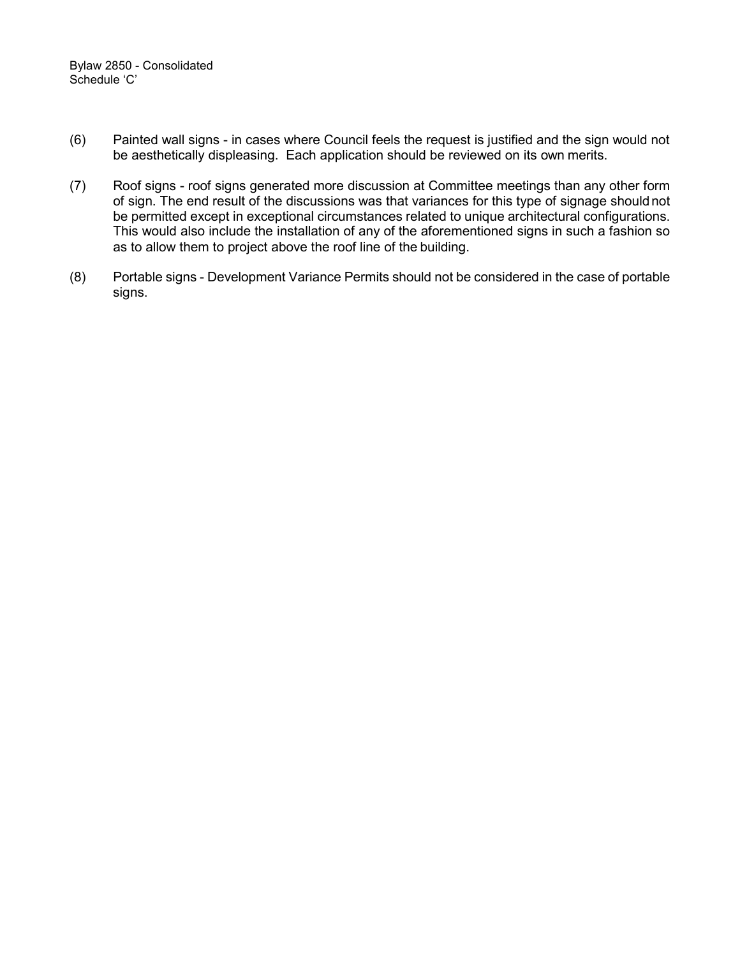- (6) Painted wall signs in cases where Council feels the request is justified and the sign would not be aesthetically displeasing. Each application should be reviewed on its own merits.
- (7) Roof signs roof signs generated more discussion at Committee meetings than any other form of sign. The end result of the discussions was that variances for this type of signage shouldnot be permitted except in exceptional circumstances related to unique architectural configurations. This would also include the installation of any of the aforementioned signs in such a fashion so as to allow them to project above the roof line of the building.
- (8) Portable signs Development Variance Permits should not be considered in the case of portable signs.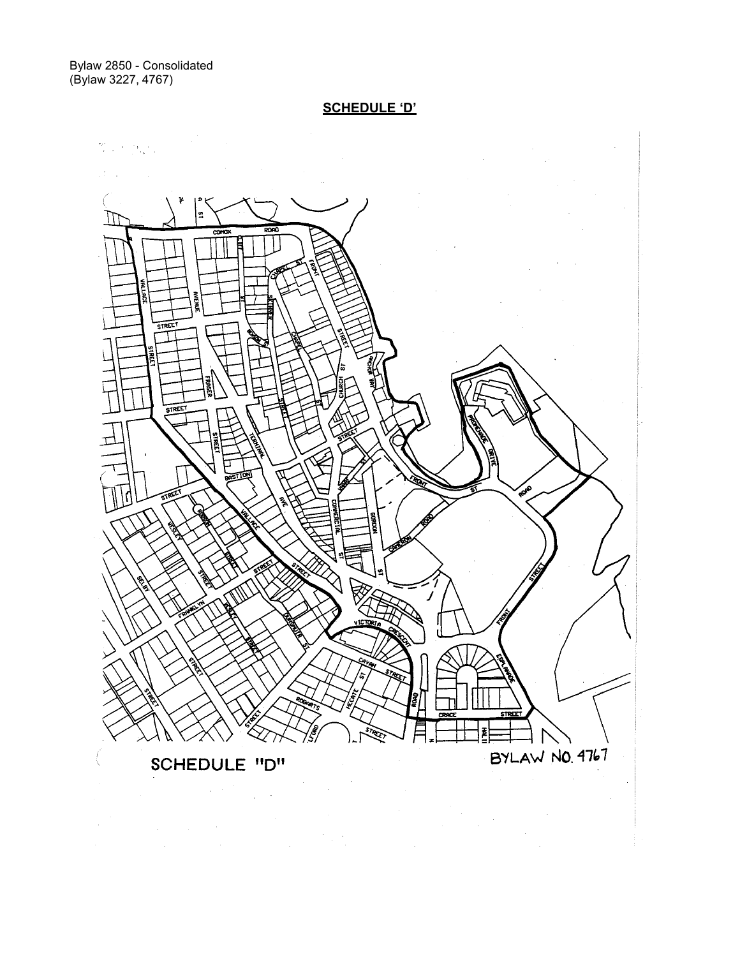Bylaw 2850 - Consolidated (Bylaw 3227, 4767)

**SCHEDULE 'D'**



 $\lambda$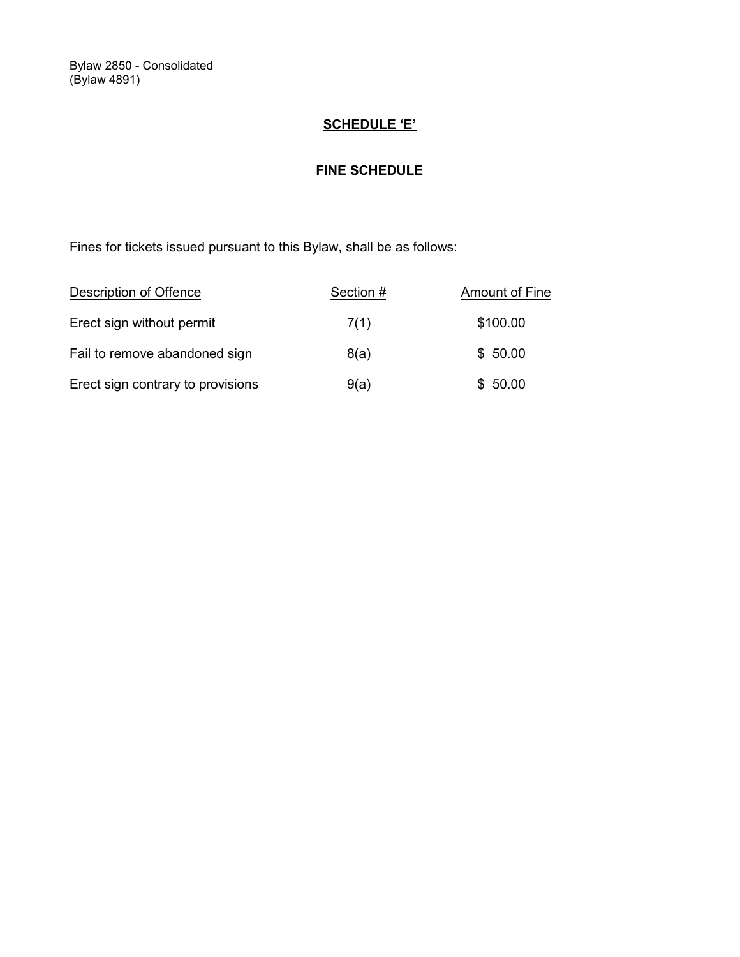Bylaw 2850 - Consolidated (Bylaw 4891)

# **SCHEDULE 'E'**

## **FINE SCHEDULE**

Fines for tickets issued pursuant to this Bylaw, shall be as follows:

| Description of Offence            | Section # | Amount of Fine |
|-----------------------------------|-----------|----------------|
| Erect sign without permit         | 7(1)      | \$100.00       |
| Fail to remove abandoned sign     | 8(a)      | \$50.00        |
| Erect sign contrary to provisions | 9(a)      | \$50.00        |